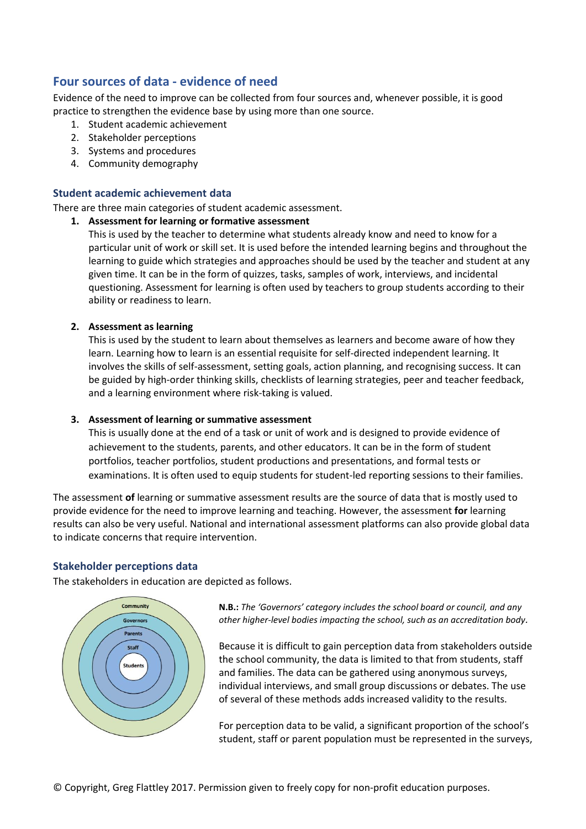# **Four sources of data - evidence of need**

Evidence of the need to improve can be collected from four sources and, whenever possible, it is good practice to strengthen the evidence base by using more than one source.

- 1. Student academic achievement
- 2. Stakeholder perceptions
- 3. Systems and procedures
- 4. Community demography

# **Student academic achievement data**

There are three main categories of student academic assessment.

# **1. Assessment for learning or formative assessment**

This is used by the teacher to determine what students already know and need to know for a particular unit of work or skill set. It is used before the intended learning begins and throughout the learning to guide which strategies and approaches should be used by the teacher and student at any given time. It can be in the form of quizzes, tasks, samples of work, interviews, and incidental questioning. Assessment for learning is often used by teachers to group students according to their ability or readiness to learn.

# **2. Assessment as learning**

This is used by the student to learn about themselves as learners and become aware of how they learn. Learning how to learn is an essential requisite for self-directed independent learning. It involves the skills of self-assessment, setting goals, action planning, and recognising success. It can be guided by high-order thinking skills, checklists of learning strategies, peer and teacher feedback, and a learning environment where risk-taking is valued.

#### **3. Assessment of learning or summative assessment**

This is usually done at the end of a task or unit of work and is designed to provide evidence of achievement to the students, parents, and other educators. It can be in the form of student portfolios, teacher portfolios, student productions and presentations, and formal tests or examinations. It is often used to equip students for student-led reporting sessions to their families.

The assessment **of** learning or summative assessment results are the source of data that is mostly used to provide evidence for the need to improve learning and teaching. However, the assessment **for** learning results can also be very useful. National and international assessment platforms can also provide global data to indicate concerns that require intervention.

#### **Stakeholder perceptions data**

The stakeholders in education are depicted as follows.



**N.B.:** *The 'Governors' category includes the school board or council, and any other higher-level bodies impacting the school, such as an accreditation body.*

Because it is difficult to gain perception data from stakeholders outside the school community, the data is limited to that from students, staff and families. The data can be gathered using anonymous surveys, individual interviews, and small group discussions or debates. The use of several of these methods adds increased validity to the results.

For perception data to be valid, a significant proportion of the school's student, staff or parent population must be represented in the surveys,